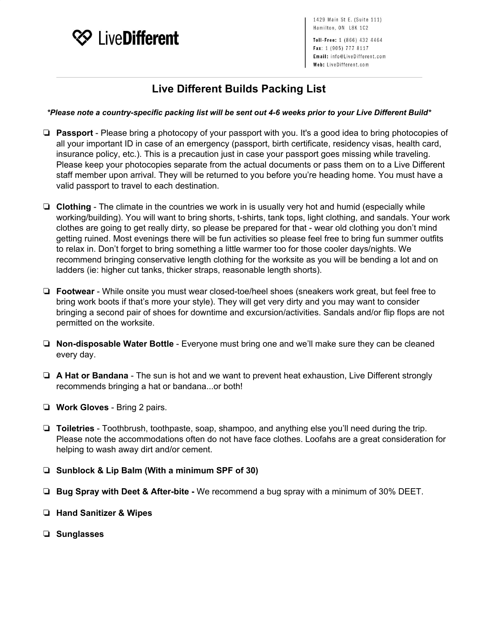

1429 Main St E. (Suite 111) Hamilton, ON L8K 1C2

Toll-Free: 1 (866) 432 4464 Fax: 1 (905) 777 8117 Email: info@LiveDifferent.com Web: LiveDifferent.com

## **Live Different Builds Packing List**

## \*Please note a country-specific packing list will be sent out 4-6 weeks prior to your Live Different Build\*

- ❏ **Passport** Please bring a photocopy of your passport with you. It's a good idea to bring photocopies of all your important ID in case of an emergency (passport, birth certificate, residency visas, health card, insurance policy, etc.). This is a precaution just in case your passport goes missing while traveling. Please keep your photocopies separate from the actual documents or pass them on to a Live Different staff member upon arrival. They will be returned to you before you're heading home. You must have a valid passport to travel to each destination.
- ❏ **Clothing** The climate in the countries we work in is usually very hot and humid (especially while working/building). You will want to bring shorts, t-shirts, tank tops, light clothing, and sandals. Your work clothes are going to get really dirty, so please be prepared for that - wear old clothing you don't mind getting ruined. Most evenings there will be fun activities so please feel free to bring fun summer outfits to relax in. Don't forget to bring something a little warmer too for those cooler days/nights. We recommend bringing conservative length clothing for the worksite as you will be bending a lot and on ladders (ie: higher cut tanks, thicker straps, reasonable length shorts).
- ❏ **Footwear** While onsite you must wear closed-toe/heel shoes (sneakers work great, but feel free to bring work boots if that's more your style). They will get very dirty and you may want to consider bringing a second pair of shoes for downtime and excursion/activities. Sandals and/or flip flops are not permitted on the worksite.
- ❏ **Non-disposable Water Bottle** Everyone must bring one and we'll make sure they can be cleaned every day.
- ❏ **A Hat or Bandana** The sun is hot and we want to prevent heat exhaustion, Live Different strongly recommends bringing a hat or bandana...or both!
- ❏ **Work Gloves** Bring 2 pairs.
- ❏ **Toiletries** Toothbrush, toothpaste, soap, shampoo, and anything else you'll need during the trip. Please note the accommodations often do not have face clothes. Loofahs are a great consideration for helping to wash away dirt and/or cement.
- ❏ **Sunblock & Lip Balm (With a minimum SPF of 30)**
- ❏ **Bug Spray with Deet & After-bite -** We recommend a bug spray with a minimum of 30% DEET.
- ❏ **Hand Sanitizer & Wipes**
- ❏ **Sunglasses**